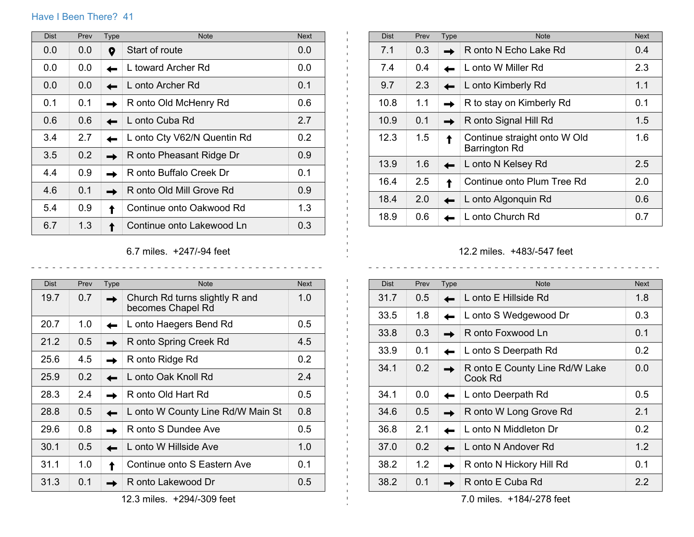## Have I Been There? 41

| <b>Dist</b> | Prev | Type | <b>Note</b>                 | <b>Next</b>   |
|-------------|------|------|-----------------------------|---------------|
| 0.0         | 0.0  | 0    | Start of route              | 0.0           |
| 0.0         | 0.0  |      | L toward Archer Rd          | 0.0           |
| 0.0         | 0.0  |      | L onto Archer Rd            | 0.1           |
| 0.1         | 0.1  |      | R onto Old McHenry Rd       | 0.6           |
| 0.6         | 0.6  |      | L onto Cuba Rd              | 2.7           |
| 3.4         | 2.7  |      | L onto Cty V62/N Quentin Rd | $0.2^{\circ}$ |
| 3.5         | 0.2  |      | R onto Pheasant Ridge Dr    | 0.9           |
| 4.4         | 0.9  |      | R onto Buffalo Creek Dr     | 0.1           |
| 4.6         | 0.1  |      | R onto Old Mill Grove Rd    | 0.9           |
| 5.4         | 0.9  |      | Continue onto Oakwood Rd    | 1.3           |
| 6.7         | 1.3  |      | Continue onto Lakewood Ln   | 0.3           |

Dist Prev Type Note Note Next Note Next 7.1  $0.3$  R onto N Echo Lake Rd  $0.4$ 7.4 0.4 **L** L onto W Miller Rd 2.3 9.7 2.3 **D** L onto Kimberly Rd 1.1 10.8  $1.1$  R to stay on Kimberly Rd 0.1 10.9 0.1 **R** onto Signal Hill Rd 1.5 12.3 1.5 **TE** Continue straight onto W Old Barrington Rd 1.6 13.9 1.6 **D** L onto N Kelsey Rd 2.5 16.4 2.5 Continue onto Plum Tree Rd 2.0 18.4 2.0 **L** L onto Algonquin Rd 0.6 18.9 0.6 **L** L onto Church Rd 0.7

 $\mathbf{L}$ 

## 6.7 miles. +247/-94 feet

 $- - - - - -$ 

| <b>Dist</b> | Prev | <b>Type</b> | <b>Note</b>                                         | <b>Next</b>   |
|-------------|------|-------------|-----------------------------------------------------|---------------|
| 19.7        | 0.7  |             | Church Rd turns slightly R and<br>becomes Chapel Rd | 1.0           |
| 20.7        | 1.0  |             | L onto Haegers Bend Rd                              | $0.5^{\circ}$ |
| 21.2        | 0.5  |             | R onto Spring Creek Rd                              | 4.5           |
| 25.6        | 4.5  |             | R onto Ridge Rd                                     | 0.2           |
| 25.9        | 0.2  |             | L onto Oak Knoll Rd                                 | 2.4           |
| 28.3        | 2.4  |             | R onto Old Hart Rd                                  | 0.5           |
| 28.8        | 0.5  |             | L onto W County Line Rd/W Main St                   | 0.8           |
| 29.6        | 0.8  |             | R onto S Dundee Ave                                 | $0.5^{\circ}$ |
| 30.1        | 0.5  |             | L onto W Hillside Ave                               | 1.0           |
| 31.1        | 1.0  |             | Continue onto S Eastern Ave                         | 0.1           |
| 31.3        | 0.1  |             | R onto Lakewood Dr                                  | 0.5           |

12.3 miles. +294/-309 feet

## 12.2 miles. +483/-547 feet

| <b>Dist</b> | Prev | <b>Type</b> | <b>Note</b>                               | <b>Next</b> |
|-------------|------|-------------|-------------------------------------------|-------------|
| 31.7        | 0.5  |             | L onto E Hillside Rd                      | 1.8         |
| 33.5        | 1.8  |             | L onto S Wedgewood Dr                     | 0.3         |
| 33.8        | 0.3  |             | R onto Foxwood Ln                         | 0.1         |
| 33.9        | 0.1  |             | L onto S Deerpath Rd                      | 0.2         |
| 34.1        | 0.2  |             | R onto E County Line Rd/W Lake<br>Cook Rd | 0.0         |
| 34.1        | 0.0  |             | L onto Deerpath Rd                        | 0.5         |
| 34.6        | 0.5  |             | R onto W Long Grove Rd                    | 2.1         |
| 36.8        | 2.1  |             | L onto N Middleton Dr                     | 0.2         |
| 37.0        | 0.2  |             | L onto N Andover Rd                       | 1.2         |
| 38.2        | 1.2  |             | R onto N Hickory Hill Rd                  | 0.1         |
| 38.2        | 0.1  |             | R onto E Cuba Rd                          | 2.2         |

7.0 miles. +184/-278 feet